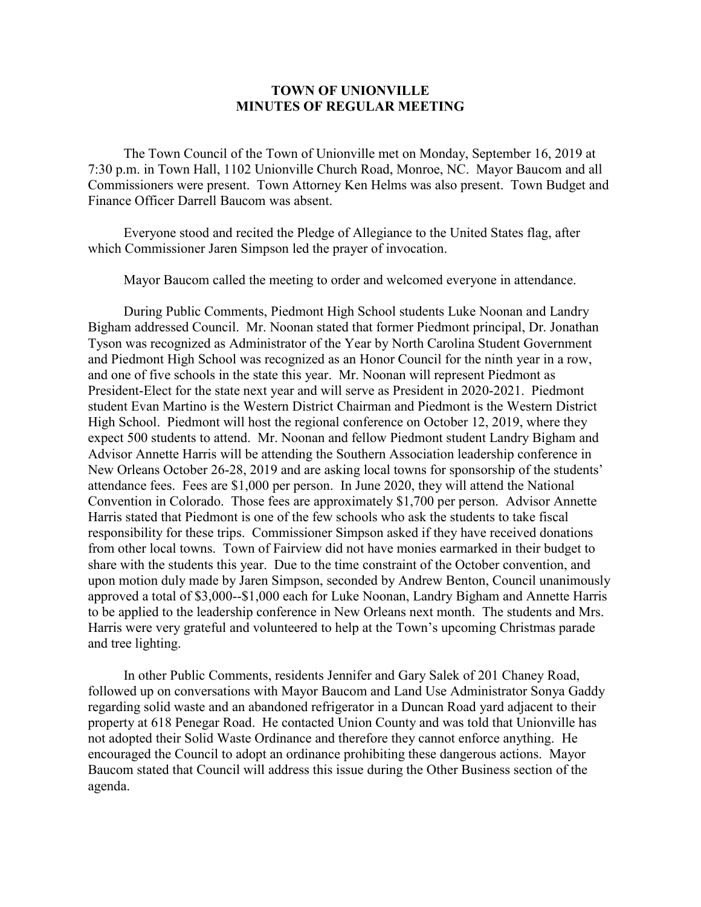## **TOWN OF UNIONVILLE MINUTES OF REGULAR MEETING**

The Town Council of the Town of Unionville met on Monday, September 16, 2019 at 7:30 p.m. in Town Hall, 1102 Unionville Church Road, Monroe, NC. Mayor Baucom and all Commissioners were present. Town Attorney Ken Helms was also present. Town Budget and Finance Officer Darrell Baucom was absent.

Everyone stood and recited the Pledge of Allegiance to the United States flag, after which Commissioner Jaren Simpson led the prayer of invocation.

Mayor Baucom called the meeting to order and welcomed everyone in attendance.

During Public Comments, Piedmont High School students Luke Noonan and Landry Bigham addressed Council. Mr. Noonan stated that former Piedmont principal, Dr. Jonathan Tyson was recognized as Administrator of the Year by North Carolina Student Government and Piedmont High School was recognized as an Honor Council for the ninth year in a row, and one of five schools in the state this year. Mr. Noonan will represent Piedmont as President-Elect for the state next year and will serve as President in 2020-2021. Piedmont student Evan Martino is the Western District Chairman and Piedmont is the Western District High School. Piedmont will host the regional conference on October 12, 2019, where they expect 500 students to attend. Mr. Noonan and fellow Piedmont student Landry Bigham and Advisor Annette Harris will be attending the Southern Association leadership conference in New Orleans October 26-28, 2019 and are asking local towns for sponsorship of the students' attendance fees. Fees are \$1,000 per person. In June 2020, they will attend the National Convention in Colorado. Those fees are approximately \$1,700 per person. Advisor Annette Harris stated that Piedmont is one of the few schools who ask the students to take fiscal responsibility for these trips. Commissioner Simpson asked if they have received donations from other local towns. Town of Fairview did not have monies earmarked in their budget to share with the students this year. Due to the time constraint of the October convention, and upon motion duly made by Jaren Simpson, seconded by Andrew Benton, Council unanimously approved a total of \$3,000--\$1,000 each for Luke Noonan, Landry Bigham and Annette Harris to be applied to the leadership conference in New Orleans next month. The students and Mrs. Harris were very grateful and volunteered to help at the Town's upcoming Christmas parade and tree lighting.

In other Public Comments, residents Jennifer and Gary Salek of 201 Chaney Road, followed up on conversations with Mayor Baucom and Land Use Administrator Sonya Gaddy regarding solid waste and an abandoned refrigerator in a Duncan Road yard adjacent to their property at 618 Penegar Road. He contacted Union County and was told that Unionville has not adopted their Solid Waste Ordinance and therefore they cannot enforce anything. He encouraged the Council to adopt an ordinance prohibiting these dangerous actions. Mayor Baucom stated that Council will address this issue during the Other Business section of the agenda.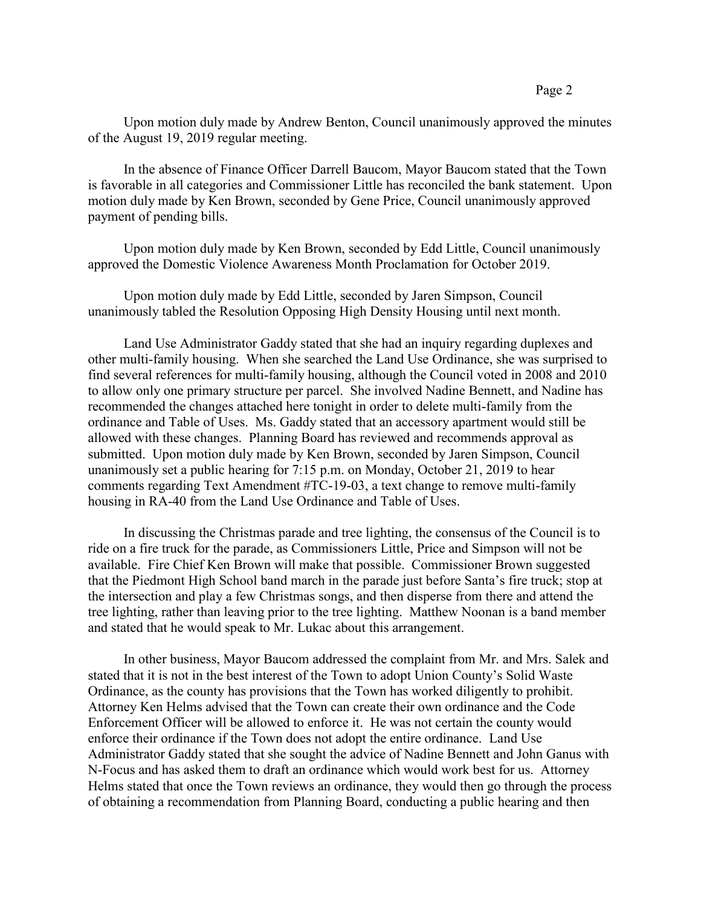Upon motion duly made by Andrew Benton, Council unanimously approved the minutes of the August 19, 2019 regular meeting.

In the absence of Finance Officer Darrell Baucom, Mayor Baucom stated that the Town is favorable in all categories and Commissioner Little has reconciled the bank statement. Upon motion duly made by Ken Brown, seconded by Gene Price, Council unanimously approved payment of pending bills.

Upon motion duly made by Ken Brown, seconded by Edd Little, Council unanimously approved the Domestic Violence Awareness Month Proclamation for October 2019.

Upon motion duly made by Edd Little, seconded by Jaren Simpson, Council unanimously tabled the Resolution Opposing High Density Housing until next month.

Land Use Administrator Gaddy stated that she had an inquiry regarding duplexes and other multi-family housing. When she searched the Land Use Ordinance, she was surprised to find several references for multi-family housing, although the Council voted in 2008 and 2010 to allow only one primary structure per parcel. She involved Nadine Bennett, and Nadine has recommended the changes attached here tonight in order to delete multi-family from the ordinance and Table of Uses. Ms. Gaddy stated that an accessory apartment would still be allowed with these changes. Planning Board has reviewed and recommends approval as submitted. Upon motion duly made by Ken Brown, seconded by Jaren Simpson, Council unanimously set a public hearing for 7:15 p.m. on Monday, October 21, 2019 to hear comments regarding Text Amendment #TC-19-03, a text change to remove multi-family housing in RA-40 from the Land Use Ordinance and Table of Uses.

In discussing the Christmas parade and tree lighting, the consensus of the Council is to ride on a fire truck for the parade, as Commissioners Little, Price and Simpson will not be available. Fire Chief Ken Brown will make that possible. Commissioner Brown suggested that the Piedmont High School band march in the parade just before Santa's fire truck; stop at the intersection and play a few Christmas songs, and then disperse from there and attend the tree lighting, rather than leaving prior to the tree lighting. Matthew Noonan is a band member and stated that he would speak to Mr. Lukac about this arrangement.

In other business, Mayor Baucom addressed the complaint from Mr. and Mrs. Salek and stated that it is not in the best interest of the Town to adopt Union County's Solid Waste Ordinance, as the county has provisions that the Town has worked diligently to prohibit. Attorney Ken Helms advised that the Town can create their own ordinance and the Code Enforcement Officer will be allowed to enforce it. He was not certain the county would enforce their ordinance if the Town does not adopt the entire ordinance. Land Use Administrator Gaddy stated that she sought the advice of Nadine Bennett and John Ganus with N-Focus and has asked them to draft an ordinance which would work best for us. Attorney Helms stated that once the Town reviews an ordinance, they would then go through the process of obtaining a recommendation from Planning Board, conducting a public hearing and then